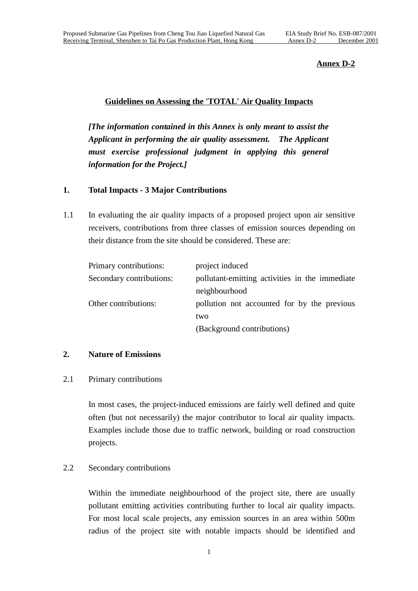## **Annex D-2**

## **Guidelines on Assessing the 'TOTAL' Air Quality Impacts**

*[The information contained in this Annex is only meant to assist the Applicant in performing the air quality assessment. The Applicant must exercise professional judgment in applying this general information for the Project.]*

## **1. Total Impacts - 3 Major Contributions**

1.1 In evaluating the air quality impacts of a proposed project upon air sensitive receivers, contributions from three classes of emission sources depending on their distance from the site should be considered. These are:

| Primary contributions:   | project induced                                |  |
|--------------------------|------------------------------------------------|--|
| Secondary contributions: | pollutant-emitting activities in the immediate |  |
|                          | neighbourhood                                  |  |
| Other contributions:     | pollution not accounted for by the previous    |  |
|                          | two                                            |  |
|                          | (Background contributions)                     |  |

#### **2. Nature of Emissions**

#### 2.1 Primary contributions

In most cases, the project-induced emissions are fairly well defined and quite often (but not necessarily) the major contributor to local air quality impacts. Examples include those due to traffic network, building or road construction projects.

# 2.2 Secondary contributions

Within the immediate neighbourhood of the project site, there are usually pollutant emitting activities contributing further to local air quality impacts. For most local scale projects, any emission sources in an area within 500m radius of the project site with notable impacts should be identified and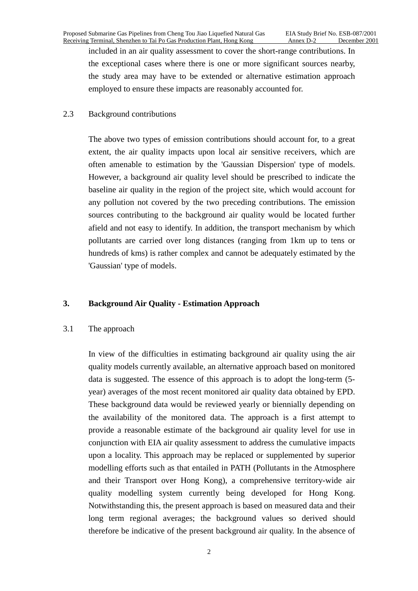included in an air quality assessment to cover the short-range contributions. In the exceptional cases where there is one or more significant sources nearby, the study area may have to be extended or alternative estimation approach employed to ensure these impacts are reasonably accounted for.

## 2.3 Background contributions

The above two types of emission contributions should account for, to a great extent, the air quality impacts upon local air sensitive receivers, which are often amenable to estimation by the 'Gaussian Dispersion' type of models. However, a background air quality level should be prescribed to indicate the baseline air quality in the region of the project site, which would account for any pollution not covered by the two preceding contributions. The emission sources contributing to the background air quality would be located further afield and not easy to identify. In addition, the transport mechanism by which pollutants are carried over long distances (ranging from 1km up to tens or hundreds of kms) is rather complex and cannot be adequately estimated by the 'Gaussian' type of models.

# **3. Background Air Quality - Estimation Approach**

#### 3.1 The approach

 In view of the difficulties in estimating background air quality using the air quality models currently available, an alternative approach based on monitored data is suggested. The essence of this approach is to adopt the long-term (5 year) averages of the most recent monitored air quality data obtained by EPD. These background data would be reviewed yearly or biennially depending on the availability of the monitored data. The approach is a first attempt to provide a reasonable estimate of the background air quality level for use in conjunction with EIA air quality assessment to address the cumulative impacts upon a locality. This approach may be replaced or supplemented by superior modelling efforts such as that entailed in PATH (Pollutants in the Atmosphere and their Transport over Hong Kong), a comprehensive territory-wide air quality modelling system currently being developed for Hong Kong. Notwithstanding this, the present approach is based on measured data and their long term regional averages; the background values so derived should therefore be indicative of the present background air quality. In the absence of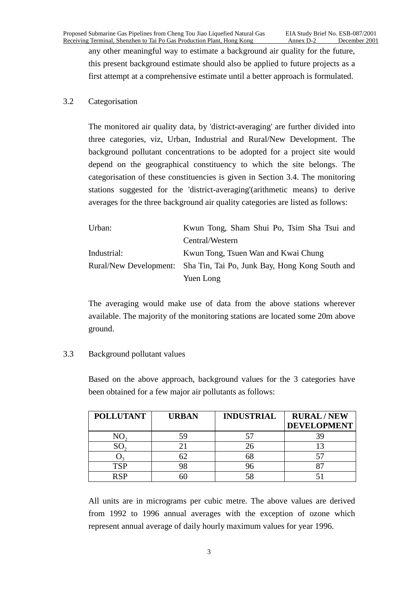any other meaningful way to estimate a background air quality for the future, this present background estimate should also be applied to future projects as a first attempt at a comprehensive estimate until a better approach is formulated.

## 3.2 Categorisation

The monitored air quality data, by 'district-averaging' are further divided into three categories, viz, Urban, Industrial and Rural/New Development. The background pollutant concentrations to be adopted for a project site would depend on the geographical constituency to which the site belongs. The categorisation of these constituencies is given in Section 3.4. The monitoring stations suggested for the 'district-averaging'(arithmetic means) to derive averages for the three background air quality categories are listed as follows:

| Urban:      | Kwun Tong, Sham Shui Po, Tsim Sha Tsui and                            |  |
|-------------|-----------------------------------------------------------------------|--|
|             | Central/Western                                                       |  |
| Industrial: | Kwun Tong, Tsuen Wan and Kwai Chung                                   |  |
|             | Rural/New Development: Sha Tin, Tai Po, Junk Bay, Hong Kong South and |  |
|             | Yuen Long                                                             |  |

The averaging would make use of data from the above stations wherever available. The majority of the monitoring stations are located some 20m above ground.

# 3.3 Background pollutant values

Based on the above approach, background values for the 3 categories have been obtained for a few major air pollutants as follows:

| <b>POLLUTANT</b> | <b>URBAN</b> | <b>INDUSTRIAL</b> | <b>RURAL/NEW</b><br><b>DEVELOPMENT</b> |
|------------------|--------------|-------------------|----------------------------------------|
|                  | 59           |                   |                                        |
|                  |              |                   |                                        |
|                  |              |                   |                                        |
| TCP              |              |                   |                                        |
|                  |              |                   |                                        |

All units are in micrograms per cubic metre. The above values are derived from 1992 to 1996 annual averages with the exception of ozone which represent annual average of daily hourly maximum values for year 1996.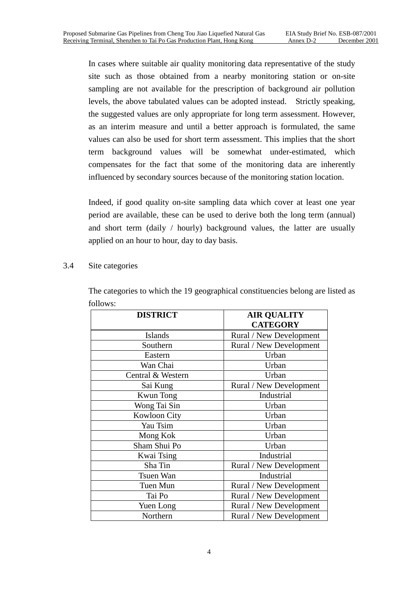In cases where suitable air quality monitoring data representative of the study site such as those obtained from a nearby monitoring station or on-site sampling are not available for the prescription of background air pollution levels, the above tabulated values can be adopted instead. Strictly speaking, the suggested values are only appropriate for long term assessment. However, as an interim measure and until a better approach is formulated, the same values can also be used for short term assessment. This implies that the short term background values will be somewhat under-estimated, which compensates for the fact that some of the monitoring data are inherently influenced by secondary sources because of the monitoring station location.

Indeed, if good quality on-site sampling data which cover at least one year period are available, these can be used to derive both the long term (annual) and short term (daily / hourly) background values, the latter are usually applied on an hour to hour, day to day basis.

## 3.4 Site categories

| <b>DISTRICT</b>   | <b>AIR QUALITY</b>      |
|-------------------|-------------------------|
|                   | <b>CATEGORY</b>         |
| <b>Islands</b>    | Rural / New Development |
| Southern          | Rural / New Development |
| Eastern           | Urban                   |
| Wan Chai          | Urban                   |
| Central & Western | Urban                   |
| Sai Kung          | Rural / New Development |
| <b>Kwun Tong</b>  | Industrial              |
| Wong Tai Sin      | Urban                   |
| Kowloon City      | Urban                   |
| Yau Tsim          | Urban                   |
| Mong Kok          | Urban                   |
| Sham Shui Po      | Urban                   |
| Kwai Tsing        | Industrial              |
| Sha Tin           | Rural / New Development |
| <b>Tsuen Wan</b>  | Industrial              |
| Tuen Mun          | Rural / New Development |
| Tai Po            | Rural / New Development |
| Yuen Long         | Rural / New Development |
| Northern          | Rural / New Development |

The categories to which the 19 geographical constituencies belong are listed as follows: